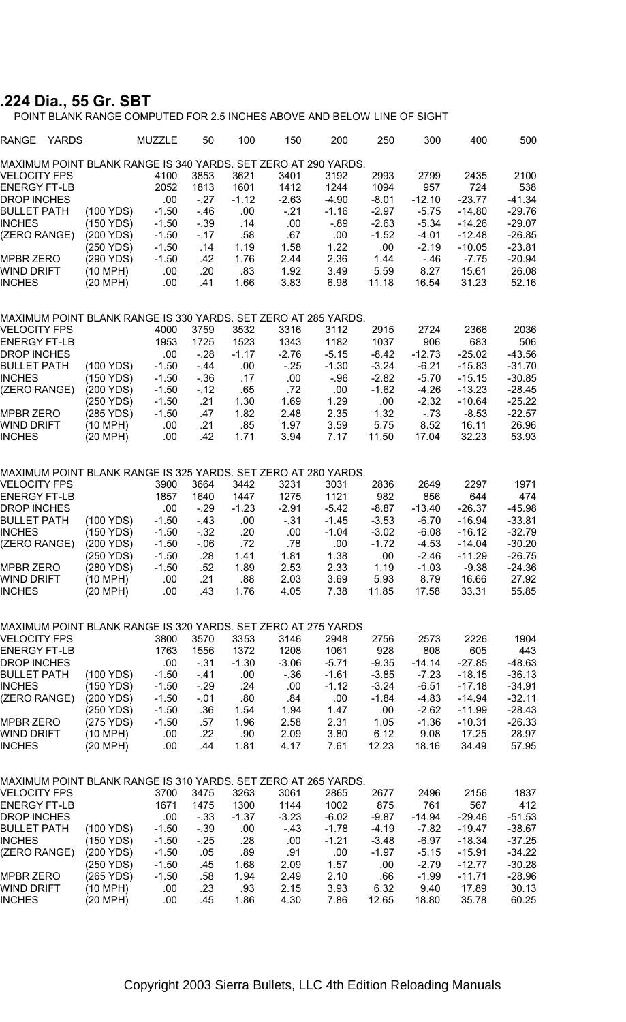## **.224 Dia., 55 Gr. SBT**

POINT BLANK RANGE COMPUTED FOR 2.5 INCHES ABOVE AND BELOW LINE OF SIGHT

| RANGE<br>YARDS                                                 |           | MUZZLE  | 50     | 100     | 150     | 200     | 250     | 300      | 400      | 500      |
|----------------------------------------------------------------|-----------|---------|--------|---------|---------|---------|---------|----------|----------|----------|
| MAXIMUM POINT BLANK RANGE IS 340 YARDS. SET ZERO AT 290 YARDS. |           |         |        |         |         |         |         |          |          |          |
| VELOCITY FPS                                                   |           | 4100    | 3853   | 3621    | 3401    | 3192    | 2993    | 2799     | 2435     | 2100     |
| ENERGY FT-LB                                                   |           | 2052    | 1813   | 1601    | 1412    | 1244    | 1094    | 957      | 724      | 538      |
| DROP INCHES                                                    |           | .00     | $-27$  | $-1.12$ | $-2.63$ | $-4.90$ | $-8.01$ | $-12.10$ | $-23.77$ | $-41.34$ |
| <b>BULLET PATH</b>                                             | (100 YDS) | $-1.50$ | $-46$  | .00     | $-21$   | $-1.16$ | $-2.97$ | $-5.75$  | $-14.80$ | $-29.76$ |
| <b>INCHES</b>                                                  | (150 YDS) | $-1.50$ | $-39$  | .14     | .00     | -.89    | $-2.63$ | $-5.34$  | $-14.26$ | $-29.07$ |
| (ZERO RANGE)                                                   | (200 YDS) | $-1.50$ | $-17$  | .58     | .67     | .00     | $-1.52$ | $-4.01$  | $-12.48$ | $-26.85$ |
|                                                                | (250 YDS) | $-1.50$ | .14    | 1.19    | 1.58    | 1.22    | .00     | $-2.19$  | $-10.05$ | $-23.81$ |
| MPBR ZERO                                                      | (290 YDS) | $-1.50$ | .42    | 1.76    | 2.44    | 2.36    | 1.44    | $-46$    | $-7.75$  | $-20.94$ |
| <b>WIND DRIFT</b>                                              | (10 MPH)  | .00     | .20    | .83     | 1.92    | 3.49    | 5.59    | 8.27     | 15.61    | 26.08    |
| <b>INCHES</b>                                                  | (20 MPH)  | .00     | .41    | 1.66    | 3.83    | 6.98    | 11.18   | 16.54    | 31.23    | 52.16    |
|                                                                |           |         |        |         |         |         |         |          |          |          |
| MAXIMUM POINT BLANK RANGE IS 330 YARDS. SET ZERO AT 285 YARDS. |           |         |        |         |         |         |         |          |          |          |
| VELOCITY FPS                                                   |           | 4000    | 3759   | 3532    | 3316    | 3112    | 2915    | 2724     | 2366     | 2036     |
| <b>ENERGY FT-LB</b>                                            |           | 1953    | 1725   | 1523    | 1343    | 1182    | 1037    | 906      | 683      | 506      |
| <b>DROP INCHES</b>                                             |           | .00     | $-28$  | $-1.17$ | $-2.76$ | $-5.15$ | $-8.42$ | $-12.73$ | $-25.02$ | $-43.56$ |
| <b>BULLET PATH</b>                                             | (100 YDS) | $-1.50$ | $-44$  | .00     | $-25$   | $-1.30$ | $-3.24$ | $-6.21$  | $-15.83$ | $-31.70$ |
| <b>INCHES</b>                                                  | (150 YDS) | $-1.50$ | $-36$  | .17     | .00     | $-96$   | $-2.82$ | $-5.70$  | $-15.15$ | $-30.85$ |
| (ZERO RANGE)                                                   | (200 YDS) | $-1.50$ | $-12$  | .65     | .72     | .00     | $-1.62$ | $-4.26$  | $-13.23$ | $-28.45$ |
|                                                                | (250 YDS) | $-1.50$ | .21    | 1.30    | 1.69    | 1.29    | .00     | $-2.32$  | $-10.64$ | $-25.22$ |
| <b>MPBR ZERO</b>                                               | (285 YDS) | $-1.50$ | .47    | 1.82    | 2.48    | 2.35    | 1.32    | $-73$    | $-8.53$  | $-22.57$ |
| WIND DRIFT                                                     | (10 MPH)  | .00     | .21    | .85     | 1.97    | 3.59    | 5.75    | 8.52     | 16.11    | 26.96    |
| <b>INCHES</b>                                                  | (20 MPH)  | .00     | .42    | 1.71    | 3.94    | 7.17    | 11.50   | 17.04    | 32.23    | 53.93    |
|                                                                |           |         |        |         |         |         |         |          |          |          |
| MAXIMUM POINT BLANK RANGE IS 325 YARDS. SET ZERO AT 280 YARDS. |           |         |        |         |         |         |         |          |          |          |
| VELOCITY FPS                                                   |           | 3900    | 3664   | 3442    | 3231    | 3031    | 2836    | 2649     | 2297     | 1971     |
|                                                                |           |         |        |         |         |         | 982     |          |          |          |
| <b>ENERGY FT-LB</b>                                            |           | 1857    | 1640   | 1447    | 1275    | 1121    |         | 856      | 644      | 474      |
| <b>DROP INCHES</b>                                             |           | .00     | $-29$  | $-1.23$ | $-2.91$ | $-5.42$ | $-8.87$ | $-13.40$ | $-26.37$ | $-45.98$ |
| <b>BULLET PATH</b>                                             | (100 YDS) | $-1.50$ | $-43$  | .00     | $-31$   | $-1.45$ | $-3.53$ | $-6.70$  | $-16.94$ | $-33.81$ |
| <b>INCHES</b>                                                  | (150 YDS) | $-1.50$ | $-32$  | .20     | .00     | $-1.04$ | $-3.02$ | $-6.08$  | -16.12   | $-32.79$ |
| (ZERO RANGE)                                                   | (200 YDS) | $-1.50$ | $-.06$ | .72     | .78     | .00     | $-1.72$ | $-4.53$  | $-14.04$ | $-30.20$ |
|                                                                | (250 YDS) | $-1.50$ | .28    | 1.41    | 1.81    | 1.38    | .00     | $-2.46$  | $-11.29$ | $-26.75$ |
| MPBR ZERO                                                      | (280 YDS) | $-1.50$ | .52    | 1.89    | 2.53    | 2.33    | 1.19    | $-1.03$  | $-9.38$  | $-24.36$ |
| WIND DRIFT                                                     | (10 MPH)  | .00     | .21    | .88     | 2.03    | 3.69    | 5.93    | 8.79     | 16.66    | 27.92    |
| <b>INCHES</b>                                                  | (20 MPH)  | .00     | .43    | 1.76    | 4.05    | 7.38    | 11.85   | 17.58    | 33.31    | 55.85    |
| MAXIMUM POINT BLANK RANGE IS 320 YARDS. SET ZERO AT 275 YARDS. |           |         |        |         |         |         |         |          |          |          |
|                                                                |           |         |        |         |         |         |         |          |          |          |
| <b>VELOCITY FPS</b>                                            |           | 3800    | 3570   | 3353    | 3146    | 2948    | 2756    | 2573     | 2226     | 1904     |
| <b>ENERGY FT-LB</b>                                            |           | 1763    | 1556   | 1372    | 1208    | 1061    | 928     | 808      | 605      | 443      |
| DROP INCHES                                                    |           | .00     | - 31   | $-1.30$ | $-3.06$ | $-5.71$ | $-9.35$ | -14.14   | $-27.85$ | -48.63   |
| <b>BULLET PATH</b>                                             | (100 YDS) | $-1.50$ | $-41$  | .00     | $-36$   | $-1.61$ | $-3.85$ | $-7.23$  | $-18.15$ | $-36.13$ |
| <b>INCHES</b>                                                  | (150 YDS) | $-1.50$ | $-29$  | .24     | .00     | $-1.12$ | $-3.24$ | $-6.51$  | $-17.18$ | $-34.91$ |
| (ZERO RANGE)                                                   | (200 YDS) | $-1.50$ | $-01$  | .80     | .84     | .00     | $-1.84$ | $-4.83$  | $-14.94$ | $-32.11$ |
|                                                                | (250 YDS) | $-1.50$ | .36    | 1.54    | 1.94    | 1.47    | .00     | $-2.62$  | $-11.99$ | $-28.43$ |
| MPBR ZERO                                                      | (275 YDS) | $-1.50$ | .57    | 1.96    | 2.58    | 2.31    | 1.05    | $-1.36$  | $-10.31$ | $-26.33$ |
| WIND DRIFT                                                     | (10 MPH)  | .00     | .22    | .90     | 2.09    | 3.80    | 6.12    | 9.08     | 17.25    | 28.97    |
| <b>INCHES</b>                                                  | (20 MPH)  | .00     | .44    | 1.81    | 4.17    | 7.61    | 12.23   | 18.16    | 34.49    | 57.95    |
|                                                                |           |         |        |         |         |         |         |          |          |          |
| MAXIMUM POINT BLANK RANGE IS 310 YARDS. SET ZERO AT 265 YARDS. |           |         |        |         |         |         |         |          |          |          |
| <b>VELOCITY FPS</b>                                            |           | 3700    | 3475   | 3263    | 3061    | 2865    | 2677    | 2496     | 2156     | 1837     |
| <b>ENERGY FT-LB</b>                                            |           | 1671    | 1475   | 1300    | 1144    | 1002    | 875     | 761      | 567      | 412      |
| DROP INCHES                                                    |           | .00     | $-33$  | $-1.37$ | $-3.23$ | $-6.02$ | $-9.87$ | -14.94   | $-29.46$ | $-51.53$ |
| <b>BULLET PATH</b>                                             | (100 YDS) | $-1.50$ | $-39$  | .00     | $-43$   | $-1.78$ | -4.19   | -7.82    | $-19.47$ | $-38.67$ |
| <b>INCHES</b>                                                  | (150 YDS) |         |        |         |         |         |         |          |          | $-37.25$ |
|                                                                |           | $-1.50$ | - 25   | .28     | .00     | $-1.21$ | $-3.48$ | $-6.97$  | $-18.34$ |          |
| (ZERO RANGE)                                                   | (200 YDS) | $-1.50$ | .05    | .89     | .91     | .00     | $-1.97$ | $-5.15$  | $-15.91$ | $-34.22$ |
|                                                                | (250 YDS) | $-1.50$ | .45    | 1.68    | 2.09    | 1.57    | .00     | $-2.79$  | $-12.77$ | $-30.28$ |
| <b>MPBR ZERO</b>                                               | (265 YDS) | $-1.50$ | .58    | 1.94    | 2.49    | 2.10    | .66     | $-1.99$  | $-11.71$ | $-28.96$ |
| WIND DRIFT                                                     | (10 MPH)  | .00     | .23    | .93     | 2.15    | 3.93    | 6.32    | 9.40     | 17.89    | 30.13    |
| <b>INCHES</b>                                                  | (20 MPH)  | .00     | .45    | 1.86    | 4.30    | 7.86    | 12.65   | 18.80    | 35.78    | 60.25    |
|                                                                |           |         |        |         |         |         |         |          |          |          |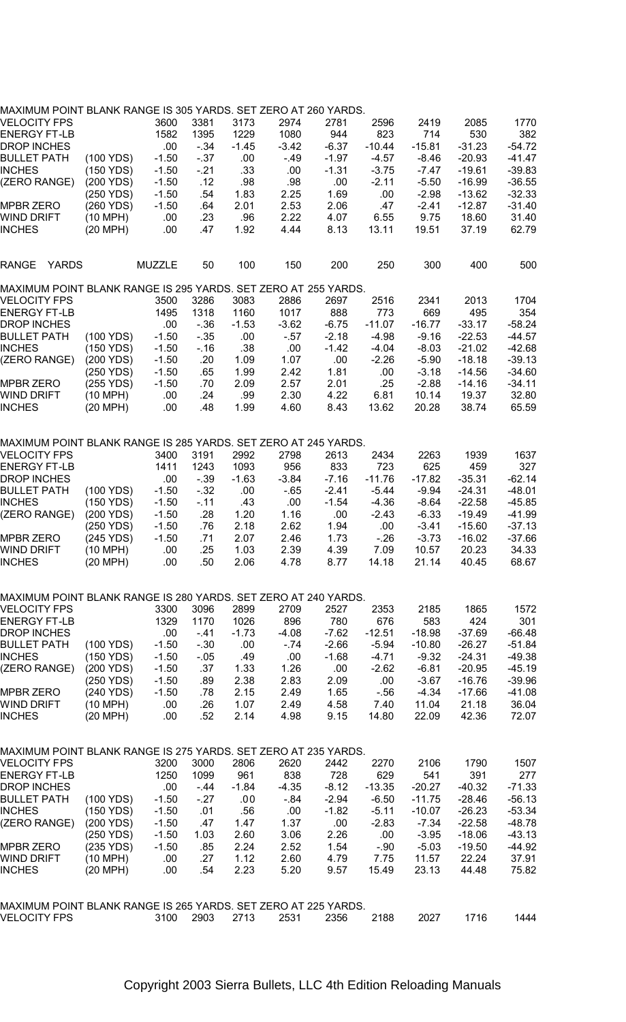| MAXIMUM POINT BLANK RANGE IS 305 YARDS. SET ZERO AT 260 YARDS. |                     |               |       |         |         |         |          |          |          |          |
|----------------------------------------------------------------|---------------------|---------------|-------|---------|---------|---------|----------|----------|----------|----------|
| VELOCITY FPS                                                   |                     | 3600          | 3381  | 3173    | 2974    | 2781    | 2596     | 2419     | 2085     | 1770     |
| <b>ENERGY FT-LB</b>                                            |                     | 1582          | 1395  | 1229    | 1080    | 944     | 823      | 714      | 530      | 382      |
|                                                                |                     |               |       |         |         |         |          |          |          |          |
| DROP INCHES                                                    |                     | .00           | - 34  | $-1.45$ | $-3.42$ | $-6.37$ | $-10.44$ | $-15.81$ | $-31.23$ | $-54.72$ |
| <b>BULLET PATH</b>                                             | (100 YDS)           | $-1.50$       | $-37$ | .00     | $-49$   | $-1.97$ | $-4.57$  | $-8.46$  | $-20.93$ | $-41.47$ |
| INCHES                                                         | (150 YDS)           | $-1.50$       | - 21  | .33     | .00     | $-1.31$ | $-3.75$  | $-7.47$  | -19.61   | $-39.83$ |
| (ZERO RANGE)                                                   | (200 YDS)           | $-1.50$       | .12   | .98     | .98     | .00     | $-2.11$  | $-5.50$  | -16.99   | $-36.55$ |
|                                                                | (250 YDS)           | $-1.50$       | .54   | 1.83    | 2.25    | 1.69    | .00      | $-2.98$  | $-13.62$ | $-32.33$ |
|                                                                |                     |               |       |         |         |         |          |          |          |          |
| MPBR ZERO                                                      | (260 YDS)           | $-1.50$       | .64   | 2.01    | 2.53    | 2.06    | .47      | $-2.41$  | $-12.87$ | $-31.40$ |
| WIND DRIFT                                                     | (10 MPH)            | .00           | .23   | .96     | 2.22    | 4.07    | 6.55     | 9.75     | 18.60    | 31.40    |
| INCHES                                                         | (20 MPH)            | .00           | .47   | 1.92    | 4.44    | 8.13    | 13.11    | 19.51    | 37.19    | 62.79    |
|                                                                |                     |               |       |         |         |         |          |          |          |          |
|                                                                |                     |               |       |         |         |         |          |          |          |          |
| <b>YARDS</b><br>RANGE                                          |                     | <b>MUZZLE</b> | 50    | 100     | 150     | 200     | 250      | 300      | 400      | 500      |
|                                                                |                     |               |       |         |         |         |          |          |          |          |
| MAXIMUM POINT BLANK RANGE IS 295 YARDS. SET ZERO AT 255 YARDS. |                     |               |       |         |         |         |          |          |          |          |
| VELOCITY FPS                                                   |                     | 3500          | 3286  | 3083    | 2886    | 2697    | 2516     | 2341     | 2013     | 1704     |
| <b>ENERGY FT-LB</b>                                            |                     | 1495          | 1318  | 1160    | 1017    | 888     | 773      | 669      | 495      | 354      |
| DROP INCHES                                                    |                     | .00           | - 36  | $-1.53$ | $-3.62$ | $-6.75$ | $-11.07$ | $-16.77$ | -33.17   | $-58.24$ |
| <b>BULLET PATH</b>                                             | (100 YDS)           | $-1.50$       | $-35$ | .00     | $-57$   | $-2.18$ | $-4.98$  | $-9.16$  | $-22.53$ | $-44.57$ |
| <b>INCHES</b>                                                  | (150 YDS)           | $-1.50$       | - 16  | .38     | .00     | $-1.42$ | $-4.04$  | $-8.03$  | $-21.02$ | $-42.68$ |
|                                                                |                     |               |       |         |         |         |          |          |          |          |
| (ZERO RANGE)                                                   | (200 YDS)           | $-1.50$       | .20   | 1.09    | 1.07    | .00     | $-2.26$  | $-5.90$  | -18.18   | $-39.13$ |
|                                                                | (250 YDS)           | $-1.50$       | .65   | 1.99    | 2.42    | 1.81    | .00      | $-3.18$  | -14.56   | $-34.60$ |
| MPBR ZERO                                                      | (255 YDS)           | $-1.50$       | .70   | 2.09    | 2.57    | 2.01    | .25      | $-2.88$  | $-14.16$ | $-34.11$ |
| WIND DRIFT                                                     | (10 MPH)            | .00           | .24   | .99     | 2.30    | 4.22    | 6.81     | 10.14    | 19.37    | 32.80    |
|                                                                |                     |               |       |         |         |         |          |          |          | 65.59    |
| INCHES                                                         | $(20 \text{ MPH})$  | .00           | .48   | 1.99    | 4.60    | 8.43    | 13.62    | 20.28    | 38.74    |          |
|                                                                |                     |               |       |         |         |         |          |          |          |          |
| MAXIMUM POINT BLANK RANGE IS 285 YARDS. SET ZERO AT 245 YARDS. |                     |               |       |         |         |         |          |          |          |          |
| VELOCITY FPS                                                   |                     | 3400          | 3191  | 2992    | 2798    | 2613    | 2434     | 2263     | 1939     | 1637     |
|                                                                |                     |               |       |         |         |         |          |          |          |          |
| ENERGY FT-LB                                                   |                     | 1411          | 1243  | 1093    | 956     | 833     | 723      | 625      | 459      | 327      |
| <b>DROP INCHES</b>                                             |                     | .00           | - 39  | $-1.63$ | $-3.84$ | $-7.16$ | $-11.76$ | $-17.82$ | -35.31   | $-62.14$ |
| BULLET PATH                                                    | (100 YDS)           | $-1.50$       | $-32$ | .00     | $-65$   | $-2.41$ | $-5.44$  | $-9.94$  | $-24.31$ | $-48.01$ |
| INCHES                                                         | (150 YDS)           | $-1.50$       | -.11  | .43     | .00     | $-1.54$ | $-4.36$  | $-8.64$  | $-22.58$ | $-45.85$ |
| (ZERO RANGE)                                                   | $(200 \text{ YDS})$ | $-1.50$       | .28   | 1.20    | 1.16    | .00     | $-2.43$  | $-6.33$  | $-19.49$ | $-41.99$ |
|                                                                |                     |               |       |         |         |         |          |          |          |          |
|                                                                | (250 YDS)           | $-1.50$       | .76   | 2.18    | 2.62    | 1.94    | .00      | $-3.41$  | $-15.60$ | $-37.13$ |
| MPBR ZERO                                                      | (245 YDS)           | $-1.50$       | .71   | 2.07    | 2.46    | 1.73    | $-26$    | $-3.73$  | -16.02   | $-37.66$ |
| WIND DRIFT                                                     | (10 MPH)            | .00           | .25   | 1.03    | 2.39    | 4.39    | 7.09     | 10.57    | 20.23    | 34.33    |
| INCHES                                                         | $(20 \text{ MPH})$  | .00           | .50   | 2.06    | 4.78    | 8.77    | 14.18    | 21.14    | 40.45    | 68.67    |
|                                                                |                     |               |       |         |         |         |          |          |          |          |
|                                                                |                     |               |       |         |         |         |          |          |          |          |
| MAXIMUM POINT BLANK RANGE IS 280 YARDS. SET ZERO AT 240 YARDS. |                     |               |       |         |         |         |          |          |          |          |
| VELOCITY FPS                                                   |                     | 3300          | 3096  | 2899    | 2709    | 2527    | 2353     | 2185     | 1865     | 1572     |
| ENERGY FT-LB                                                   |                     | 1329          | 1170  | 1026    | 896     | 780     | 676      | 583      | 424      | 301      |
| DROP INCHES                                                    |                     | .00           | - 41  | $-1.73$ | $-4.08$ | $-7.62$ | $-12.51$ | $-18.98$ | $-37.69$ | $-66.48$ |
| BULLET PATH                                                    | (100 YDS)           | $-1.50$       | $-30$ | .00     | $-74$   | $-2.66$ | $-5.94$  | $-10.80$ | $-26.27$ | $-51.84$ |
|                                                                |                     |               |       |         |         |         |          |          |          |          |
| INCHES                                                         | (150 YDS)           | $-1.50$       | -.05  | .49     | .00     | $-1.68$ | $-4.71$  | $-9.32$  | $-24.31$ | $-49.38$ |
| (ZERO RANGE)                                                   | (200 YDS)           | $-1.50$       | .37   | 1.33    | 1.26    | .00     | $-2.62$  | $-6.81$  | -20.95   | $-45.19$ |
|                                                                | (250 YDS)           | $-1.50$       | .89   | 2.38    | 2.83    | 2.09    | .00      | -3.67    | -16.76   | -39.96   |
| <b>MPBR ZERO</b>                                               | (240 YDS)           | $-1.50$       | .78   | 2.15    | 2.49    | 1.65    | $-56$    | $-4.34$  | -17.66   | -41.08   |
|                                                                | (10 MPH)            |               | .26   | 1.07    | 2.49    | 4.58    |          | 11.04    | 21.18    | 36.04    |
| WIND DRIFT                                                     |                     | .00           |       |         |         |         | 7.40     |          |          |          |
| INCHES                                                         | (20 MPH)            | .00           | .52   | 2.14    | 4.98    | 9.15    | 14.80    | 22.09    | 42.36    | 72.07    |
|                                                                |                     |               |       |         |         |         |          |          |          |          |
| MAXIMUM POINT BLANK RANGE IS 275 YARDS. SET ZERO AT 235 YARDS. |                     |               |       |         |         |         |          |          |          |          |
|                                                                |                     |               |       |         |         |         |          |          |          |          |
| VELOCITY FPS                                                   |                     | 3200          | 3000  | 2806    | 2620    | 2442    | 2270     | 2106     | 1790     | 1507     |
| ENERGY FT-LB                                                   |                     | 1250          | 1099  | 961     | 838     | 728     | 629      | 541      | 391      | 277      |
| <b>DROP INCHES</b>                                             |                     | .00.          | - 44  | $-1.84$ | $-4.35$ | $-8.12$ | $-13.35$ | $-20.27$ | $-40.32$ | $-71.33$ |
| <b>BULLET PATH</b>                                             | (100 YDS)           | $-1.50$       | - 27  | .00     | -.84    | $-2.94$ | $-6.50$  | $-11.75$ | $-28.46$ | $-56.13$ |
|                                                                |                     |               |       |         |         |         |          |          |          |          |
| INCHES                                                         | (150 YDS)           | $-1.50$       | .01   | .56     | .00     | $-1.82$ | $-5.11$  | $-10.07$ | -26.23   | $-53.34$ |
| (ZERO RANGE)                                                   | (200 YDS)           | $-1.50$       | .47   | 1.47    | 1.37    | .00     | $-2.83$  | $-7.34$  | $-22.58$ | $-48.78$ |
|                                                                | (250 YDS)           | $-1.50$       | 1.03  | 2.60    | 3.06    | 2.26    | .00      | $-3.95$  | $-18.06$ | $-43.13$ |
| <b>MPBR ZERO</b>                                               | (235 YDS)           | $-1.50$       | .85   | 2.24    | 2.52    | 1.54    | $-90$    | $-5.03$  | $-19.50$ | -44.92   |
| WIND DRIFT                                                     | (10 MPH)            | .00           | .27   | 1.12    | 2.60    | 4.79    | 7.75     | 11.57    | 22.24    | 37.91    |
|                                                                |                     | .00           | .54   |         |         |         |          |          |          |          |
| INCHES                                                         | (20 MPH)            |               |       | 2.23    | 5.20    | 9.57    | 15.49    | 23.13    | 44.48    | 75.82    |
|                                                                |                     |               |       |         |         |         |          |          |          |          |
| MAXIMUM POINT BLANK RANGE IS 265 YARDS. SET ZERO AT 225 YARDS. |                     |               |       |         |         |         |          |          |          |          |
| <b>VELOCITY FPS</b>                                            |                     | 3100          | 2903  | 2713    | 2531    | 2356    | 2188     | 2027     | 1716     | 1444     |
|                                                                |                     |               |       |         |         |         |          |          |          |          |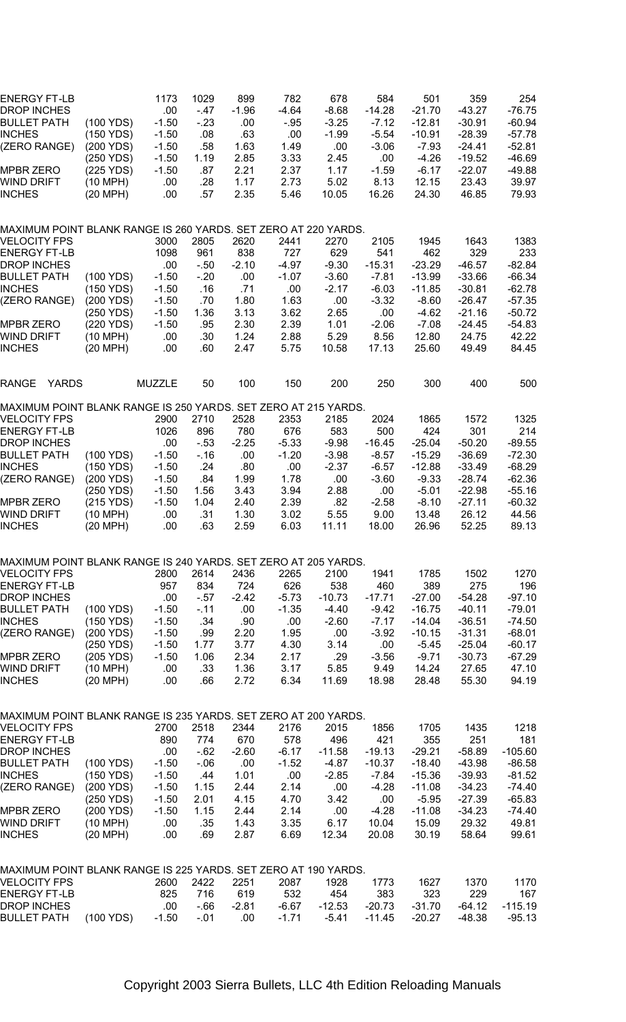| ENERGY FT-LB<br>DROP INCHES<br>BULLET PATH<br>INCHES<br>(ZERO RANGE)<br>MPBR ZERO<br>WIND DRIFT | (100 YDS)<br>(150 YDS)<br>(200 YDS)<br>(250 YDS)<br>(225 YDS)<br>(10 MPH) | 1173<br>.00<br>$-1.50$<br>$-1.50$<br>$-1.50$<br>$-1.50$<br>$-1.50$<br>.00 | 1029<br>$-47$<br>$-23$<br>.08<br>.58<br>1.19<br>.87<br>.28 | 899<br>$-1.96$<br>.00<br>.63<br>1.63<br>2.85<br>2.21<br>1.17 | 782<br>-4.64<br>$-.95$<br>.00.<br>1.49<br>3.33<br>2.37<br>2.73 | 678<br>$-8.68$<br>$-3.25$<br>$-1.99$<br>.00<br>2.45<br>1.17<br>5.02 | 584<br>$-14.28$<br>$-7.12$<br>$-5.54$<br>$-3.06$<br>.00<br>$-1.59$<br>8.13 | 501<br>$-21.70$<br>-12.81<br>$-10.91$<br>-7.93<br>$-4.26$<br>$-6.17$<br>12.15 | 359<br>-43.27<br>$-30.91$<br>$-28.39$<br>-24.41<br>$-19.52$<br>$-22.07$<br>23.43 | 254<br>-76.75<br>$-60.94$<br>$-57.78$<br>$-52.81$<br>$-46.69$<br>$-49.88$<br>39.97 |
|-------------------------------------------------------------------------------------------------|---------------------------------------------------------------------------|---------------------------------------------------------------------------|------------------------------------------------------------|--------------------------------------------------------------|----------------------------------------------------------------|---------------------------------------------------------------------|----------------------------------------------------------------------------|-------------------------------------------------------------------------------|----------------------------------------------------------------------------------|------------------------------------------------------------------------------------|
| INCHES<br>MAXIMUM POINT BLANK RANGE IS 260 YARDS. SET ZERO AT 220 YARDS.                        | (20 MPH)                                                                  | .00                                                                       | .57                                                        | 2.35                                                         | 5.46                                                           | 10.05                                                               | 16.26                                                                      | 24.30                                                                         | 46.85                                                                            | 79.93                                                                              |
| VELOCITY FPS                                                                                    |                                                                           | 3000                                                                      | 2805                                                       | 2620                                                         | 2441                                                           | 2270                                                                | 2105                                                                       | 1945                                                                          | 1643                                                                             | 1383                                                                               |
| ENERGY FT-LB                                                                                    |                                                                           | 1098                                                                      | 961                                                        | 838                                                          | 727                                                            | 629                                                                 | 541                                                                        | 462                                                                           | 329                                                                              | 233                                                                                |
| DROP INCHES                                                                                     |                                                                           | .00                                                                       | -.50                                                       | $-2.10$                                                      | -4.97                                                          | $-9.30$                                                             | $-15.31$                                                                   | $-23.29$                                                                      | $-46.57$                                                                         | $-82.84$                                                                           |
| BULLET PATH                                                                                     | (100 YDS)                                                                 | $-1.50$                                                                   | $-20$                                                      | .00                                                          | $-1.07$                                                        | $-3.60$                                                             | $-7.81$                                                                    | $-13.99$                                                                      | $-33.66$                                                                         | $-66.34$                                                                           |
| INCHES                                                                                          | $(150 \text{ YDS})$                                                       | $-1.50$                                                                   | .16                                                        | .71                                                          | .00                                                            | $-2.17$                                                             | $-6.03$                                                                    | $-11.85$                                                                      | $-30.81$                                                                         | -62.78                                                                             |
| (ZERO RANGE)                                                                                    | (200 YDS)                                                                 | $-1.50$                                                                   | .70                                                        | 1.80                                                         | 1.63                                                           | .00                                                                 | $-3.32$                                                                    | $-8.60$                                                                       | -26.47                                                                           | $-57.35$                                                                           |
|                                                                                                 | (250 YDS)                                                                 | $-1.50$                                                                   | 1.36                                                       | 3.13                                                         | 3.62                                                           | 2.65                                                                | .00                                                                        | -4.62                                                                         | $-21.16$                                                                         | $-50.72$                                                                           |
| MPBR ZERO                                                                                       | (220 YDS)                                                                 | $-1.50$                                                                   | .95                                                        | 2.30                                                         | 2.39                                                           | 1.01                                                                | $-2.06$                                                                    | $-7.08$                                                                       | -24.45                                                                           | $-54.83$                                                                           |
| WIND DRIFT                                                                                      | (10 MPH)                                                                  | .00                                                                       | .30                                                        | 1.24                                                         | 2.88                                                           | 5.29                                                                | 8.56                                                                       | 12.80                                                                         | 24.75                                                                            | 42.22                                                                              |
| <b>INCHES</b>                                                                                   | (20 MPH)                                                                  | .00                                                                       | .60                                                        | 2.47                                                         | 5.75                                                           | 10.58                                                               | 17.13                                                                      | 25.60                                                                         | 49.49                                                                            | 84.45                                                                              |
| <b>YARDS</b><br>RANGE                                                                           |                                                                           | <b>MUZZLE</b>                                                             | 50                                                         | 100                                                          | 150                                                            | 200                                                                 | 250                                                                        | 300                                                                           | 400                                                                              | 500                                                                                |
| MAXIMUM POINT BLANK RANGE IS 250 YARDS. SET ZERO AT 215 YARDS.                                  |                                                                           |                                                                           |                                                            |                                                              |                                                                |                                                                     |                                                                            |                                                                               |                                                                                  |                                                                                    |
| <b>VELOCITY FPS</b>                                                                             |                                                                           | 2900                                                                      | 2710                                                       | 2528                                                         | 2353                                                           | 2185                                                                | 2024                                                                       | 1865                                                                          | 1572                                                                             | 1325                                                                               |
| <b>ENERGY FT-LB</b>                                                                             |                                                                           | 1026                                                                      | 896                                                        | 780                                                          | 676                                                            | 583                                                                 | 500                                                                        | 424                                                                           | 301                                                                              | 214                                                                                |
| DROP INCHES<br>BULLET PATH                                                                      | (100 YDS)                                                                 | .00<br>$-1.50$                                                            | - 53<br>- 16                                               | $-2.25$<br>.00                                               | $-5.33$<br>$-1.20$                                             | $-9.98$<br>$-3.98$                                                  | $-16.45$<br>$-8.57$                                                        | -25.04<br>-15.29                                                              | $-50.20$<br>$-36.69$                                                             | $-89.55$<br>$-72.30$                                                               |
| INCHES                                                                                          | (150 YDS)                                                                 | $-1.50$                                                                   | .24                                                        | .80                                                          | .00                                                            | $-2.37$                                                             | $-6.57$                                                                    | $-12.88$                                                                      | $-33.49$                                                                         | $-68.29$                                                                           |
| (ZERO RANGE)                                                                                    | (200 YDS)                                                                 | $-1.50$                                                                   | .84                                                        | 1.99                                                         | 1.78                                                           | .00                                                                 | $-3.60$                                                                    | $-9.33$                                                                       | $-28.74$                                                                         | $-62.36$                                                                           |
|                                                                                                 | (250 YDS)                                                                 | $-1.50$                                                                   | 1.56                                                       | 3.43                                                         | 3.94                                                           | 2.88                                                                | .00                                                                        | $-5.01$                                                                       | $-22.98$                                                                         | $-55.16$                                                                           |
| MPBR ZERO                                                                                       | (215 YDS)                                                                 | $-1.50$                                                                   | 1.04                                                       | 2.40                                                         | 2.39                                                           | .82                                                                 | $-2.58$                                                                    | $-8.10$                                                                       | $-27.11$                                                                         | $-60.32$                                                                           |
| WIND DRIFT                                                                                      | (10 MPH)                                                                  | .00                                                                       | .31                                                        | 1.30                                                         | 3.02                                                           | 5.55                                                                | 9.00                                                                       | 13.48                                                                         | 26.12                                                                            | 44.56                                                                              |
| INCHES                                                                                          | (20 MPH)                                                                  | .00                                                                       | .63                                                        | 2.59                                                         | 6.03                                                           | 11.11                                                               | 18.00                                                                      | 26.96                                                                         | 52.25                                                                            | 89.13                                                                              |
| MAXIMUM POINT BLANK RANGE IS 240 YARDS. SET ZERO AT 205 YARDS.                                  |                                                                           |                                                                           |                                                            |                                                              |                                                                |                                                                     |                                                                            |                                                                               |                                                                                  |                                                                                    |
| <b>VELOCITY FPS</b>                                                                             |                                                                           | 2800                                                                      | 2614                                                       | 2436                                                         | 2265                                                           | 2100                                                                | 1941                                                                       | 1785                                                                          | 1502                                                                             | 1270                                                                               |
| ENERGY FT-LB                                                                                    |                                                                           | 957                                                                       | 834                                                        | 724                                                          | 626                                                            | 538                                                                 | 460                                                                        | 389                                                                           | 275                                                                              | 196                                                                                |
| DROP INCHES                                                                                     |                                                                           | .00                                                                       | - 57                                                       | $-2.42$                                                      | $-5.73$                                                        | $-10.73$                                                            | $-17.71$                                                                   | $-27.00$                                                                      | $-54.28$                                                                         | $-97.10$                                                                           |
| BULLET PATH                                                                                     | (100 YDS)                                                                 | $-1.50$                                                                   | - 11                                                       | .00                                                          | $-1.35$                                                        | $-4.40$                                                             | $-9.42$                                                                    | $-16.75$                                                                      | $-40.11$                                                                         | $-79.01$                                                                           |
| INCHES                                                                                          | (150 YDS)                                                                 | $-1.50$                                                                   | .34                                                        | .90                                                          | .00.                                                           | $-2.60$                                                             | $-7.17$                                                                    | -14.04                                                                        | $-36.51$                                                                         | $-74.50$                                                                           |
| (ZERO RANGE)                                                                                    | (200 YDS)                                                                 | $-1.50$                                                                   | .99                                                        | 2.20                                                         | 1.95                                                           | .00                                                                 | $-3.92$                                                                    | $-10.15$                                                                      | $-31.31$                                                                         | -68.01                                                                             |
|                                                                                                 | (250 YDS)                                                                 | $-1.50$                                                                   | 1.77                                                       | 3.77                                                         | 4.30                                                           | 3.14                                                                | .00                                                                        | $-5.45$                                                                       | $-25.04$                                                                         | -60.17                                                                             |
| MPBR ZERO                                                                                       | (205 YDS)                                                                 | $-1.50$                                                                   | 1.06                                                       | 2.34                                                         | 2.17                                                           | .29                                                                 | $-3.56$                                                                    | $-9.71$                                                                       | $-30.73$                                                                         | $-67.29$                                                                           |
| WIND DRIFT<br><b>INCHES</b>                                                                     | $(10 \text{ MPH})$<br>$(20$ MPH)                                          | .00<br>.00                                                                | .33<br>.66                                                 | 1.36<br>2.72                                                 | 3.17<br>6.34                                                   | 5.85<br>11.69                                                       | 9.49<br>18.98                                                              | 14.24<br>28.48                                                                | 27.65<br>55.30                                                                   | 47.10<br>94.19                                                                     |
|                                                                                                 |                                                                           |                                                                           |                                                            |                                                              |                                                                |                                                                     |                                                                            |                                                                               |                                                                                  |                                                                                    |
| MAXIMUM POINT BLANK RANGE IS 235 YARDS. SET ZERO AT 200 YARDS.                                  |                                                                           |                                                                           |                                                            |                                                              |                                                                |                                                                     |                                                                            |                                                                               |                                                                                  |                                                                                    |
| VELOCITY FPS                                                                                    |                                                                           | 2700                                                                      | 2518                                                       | 2344                                                         | 2176                                                           | 2015                                                                | 1856                                                                       | 1705                                                                          | 1435                                                                             | 1218                                                                               |
| ENERGY FT-LB                                                                                    |                                                                           | 890                                                                       | 774                                                        | 670                                                          | 578                                                            | 496                                                                 | 421                                                                        | 355                                                                           | 251                                                                              | 181                                                                                |
| DROP INCHES                                                                                     |                                                                           | .00                                                                       | $-62$                                                      | $-2.60$                                                      | $-6.17$                                                        | $-11.58$                                                            | $-19.13$                                                                   | $-29.21$                                                                      | $-58.89$                                                                         | $-105.60$                                                                          |
| BULLET PATH                                                                                     | (100 YDS)                                                                 | $-1.50$                                                                   | $-06$                                                      | .00                                                          | $-1.52$                                                        | -4.87                                                               | $-10.37$                                                                   | $-18.40$                                                                      | $-43.98$                                                                         | $-86.58$                                                                           |
| <b>INCHES</b>                                                                                   | (150 YDS)                                                                 | $-1.50$                                                                   | .44                                                        | 1.01                                                         | .00                                                            | $-2.85$                                                             | -7.84                                                                      | $-15.36$                                                                      | $-39.93$                                                                         | $-81.52$                                                                           |
| (ZERO RANGE)                                                                                    | (200 YDS)                                                                 | $-1.50$                                                                   | 1.15                                                       | 2.44                                                         | 2.14                                                           | .00                                                                 | $-4.28$                                                                    | $-11.08$                                                                      | $-34.23$                                                                         | $-74.40$                                                                           |
|                                                                                                 | (250 YDS)                                                                 | $-1.50$                                                                   | 2.01                                                       | 4.15                                                         | 4.70                                                           | 3.42                                                                | .00                                                                        | $-5.95$                                                                       | $-27.39$                                                                         | $-65.83$                                                                           |
| MPBR ZERO<br>WIND DRIFT                                                                         | (200 YDS)<br>$(10 \text{ MPH})$                                           | $-1.50$<br>.00                                                            | 1.15<br>.35                                                | 2.44<br>1.43                                                 | 2.14<br>3.35                                                   | .00<br>6.17                                                         | $-4.28$<br>10.04                                                           | $-11.08$<br>15.09                                                             | $-34.23$<br>29.32                                                                | -74.40<br>49.81                                                                    |
| INCHES                                                                                          | $(20 \text{ MPH})$                                                        | .00                                                                       | .69                                                        | 2.87                                                         | 6.69                                                           | 12.34                                                               | 20.08                                                                      | 30.19                                                                         | 58.64                                                                            | 99.61                                                                              |
| MAXIMUM POINT BLANK RANGE IS 225 YARDS. SET ZERO AT 190 YARDS.                                  |                                                                           |                                                                           |                                                            |                                                              |                                                                |                                                                     |                                                                            |                                                                               |                                                                                  |                                                                                    |
| VELOCITY FPS                                                                                    |                                                                           | 2600                                                                      | 2422                                                       | 2251                                                         | 2087                                                           | 1928                                                                | 1773                                                                       | 1627                                                                          | 1370                                                                             | 1170                                                                               |
| ENERGY FT-LB                                                                                    |                                                                           | 825                                                                       | 716                                                        | 619                                                          | 532                                                            | 454                                                                 | 383                                                                        | 323                                                                           | 229                                                                              | 167                                                                                |
| DROP INCHES                                                                                     |                                                                           | .00                                                                       | $-66$                                                      | $-2.81$                                                      | $-6.67$                                                        | $-12.53$                                                            | $-20.73$                                                                   | $-31.70$                                                                      | $-64.12$                                                                         | $-115.19$                                                                          |
| <b>BULLET PATH</b>                                                                              | (100 YDS)                                                                 | $-1.50$                                                                   | $-0.01$                                                    | .00                                                          | $-1.71$                                                        | $-5.41$                                                             | $-11.45$                                                                   | $-20.27$                                                                      | -48.38                                                                           | $-95.13$                                                                           |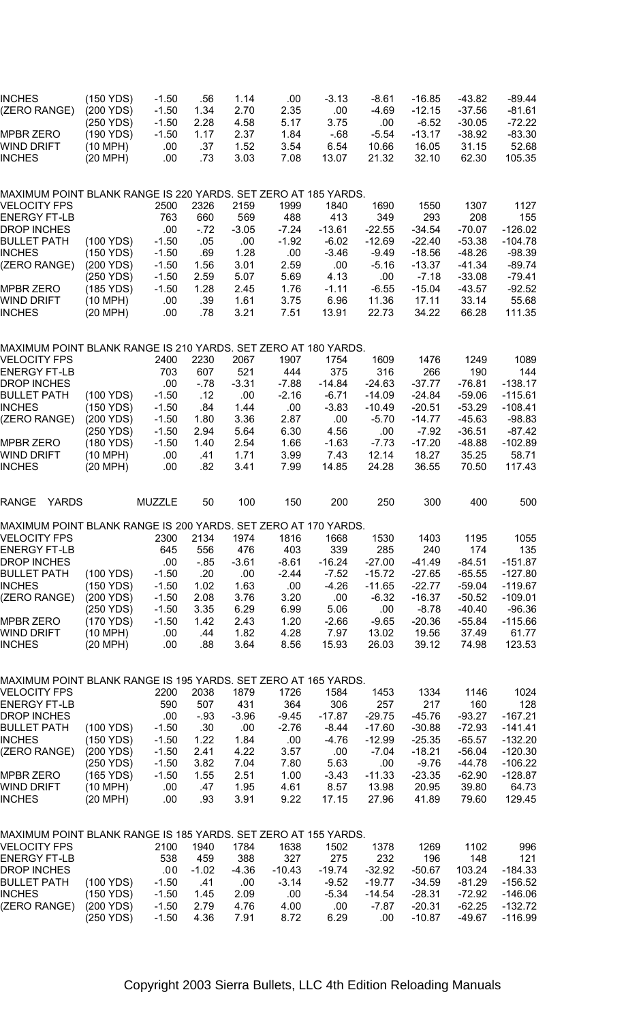| INCHES<br>(ZERO RANGE)                                                         | (150 YDS)<br>(200 YDS)             | $-1.50$<br>$-1.50$        | .56<br>1.34         | 1.14<br>2.70         | .00<br>2.35          | $-3.13$<br>.00        | -8.61<br>-4.69          | $-16.85$<br>$-12.15$         | -43.82<br>-37.56              | $-89.44$<br>$-81.61$          |
|--------------------------------------------------------------------------------|------------------------------------|---------------------------|---------------------|----------------------|----------------------|-----------------------|-------------------------|------------------------------|-------------------------------|-------------------------------|
| MPBR ZERO<br>WIND DRIFT                                                        | (250 YDS)<br>(190 YDS)<br>(10 MPH) | $-1.50$<br>$-1.50$<br>.00 | 2.28<br>1.17<br>.37 | 4.58<br>2.37<br>1.52 | 5.17<br>1.84<br>3.54 | 3.75<br>$-68$<br>6.54 | .00<br>$-5.54$<br>10.66 | $-6.52$<br>$-13.17$<br>16.05 | $-30.05$<br>$-38.92$<br>31.15 | $-72.22$<br>$-83.30$<br>52.68 |
| INCHES                                                                         | (20 MPH)                           | .00                       | .73                 | 3.03                 | 7.08                 | 13.07                 | 21.32                   | 32.10                        | 62.30                         | 105.35                        |
| MAXIMUM POINT BLANK RANGE IS 220 YARDS. SET ZERO AT 185 YARDS.<br>VELOCITY FPS |                                    | 2500                      | 2326                | 2159                 | 1999                 | 1840                  | 1690                    | 1550                         | 1307                          | 1127                          |
| <b>ENERGY FT-LB</b>                                                            |                                    | 763                       | 660                 | 569                  | 488                  | 413                   | 349                     | 293                          | 208                           | 155                           |
| DROP INCHES<br>BULLET PATH                                                     | (100 YDS)                          | .00<br>$-1.50$            | $-.72$<br>.05       | $-3.05$<br>.00       | $-7.24$<br>$-1.92$   | $-13.61$<br>$-6.02$   | $-22.55$<br>$-12.69$    | $-34.54$<br>$-22.40$         | $-70.07$<br>$-53.38$          | $-126.02$<br>$-104.78$        |
| <b>INCHES</b>                                                                  | (150 YDS)<br>(200 YDS)             | $-1.50$                   | .69                 | 1.28                 | .00                  | $-3.46$               | $-9.49$                 | $-18.56$<br>$-13.37$         | $-48.26$                      | $-98.39$                      |
| (ZERO RANGE)                                                                   | (250 YDS)                          | $-1.50$<br>$-1.50$        | 1.56<br>2.59        | 3.01<br>5.07         | 2.59<br>5.69         | .00.<br>4.13          | $-5.16$<br>.00          | $-7.18$                      | $-41.34$<br>$-33.08$          | $-89.74$<br>$-79.41$          |
| MPBR ZERO<br>WIND DRIFT                                                        | (185 YDS)<br>(10 MPH)              | $-1.50$<br>.00            | 1.28<br>.39         | 2.45<br>1.61         | 1.76<br>3.75         | $-1.11$<br>6.96       | $-6.55$<br>11.36        | $-15.04$<br>17.11            | -43.57<br>33.14               | $-92.52$<br>55.68             |
| INCHES                                                                         | (20 MPH)                           | .00                       | .78                 | 3.21                 | 7.51                 | 13.91                 | 22.73                   | 34.22                        | 66.28                         | 111.35                        |
| MAXIMUM POINT BLANK RANGE IS 210 YARDS. SET ZERO AT 180 YARDS.                 |                                    |                           |                     |                      |                      |                       |                         |                              |                               |                               |
| <b>VELOCITY FPS</b>                                                            |                                    | 2400                      | 2230                | 2067                 | 1907                 | 1754                  | 1609                    | 1476                         | 1249                          | 1089                          |
| ENERGY FT-LB<br><b>DROP INCHES</b>                                             |                                    | 703<br>.00                | 607<br>$-78$        | 521<br>$-3.31$       | 444<br>$-7.88$       | 375<br>$-14.84$       | 316<br>$-24.63$         | 266<br>$-37.77$              | 190<br>$-76.81$               | 144<br>$-138.17$              |
| BULLET PATH<br>INCHES                                                          | (100 YDS)<br>(150 YDS)             | $-1.50$<br>$-1.50$        | .12<br>.84          | .00<br>1.44          | $-2.16$<br>.00       | $-6.71$<br>$-3.83$    | $-14.09$<br>$-10.49$    | $-24.84$                     | $-59.06$<br>$-53.29$          | $-115.61$<br>$-108.41$        |
| (ZERO RANGE)                                                                   | (200 YDS)                          | $-1.50$                   | 1.80                | 3.36                 | 2.87                 | .00                   | $-5.70$                 | $-20.51$<br>$-14.77$         | $-45.63$                      | $-98.83$                      |
| MPBR ZERO                                                                      | (250 YDS)<br>(180 YDS)             | $-1.50$<br>$-1.50$        | 2.94<br>1.40        | 5.64<br>2.54         | 6.30<br>1.66         | 4.56<br>$-1.63$       | .00<br>$-7.73$          | $-7.92$<br>$-17.20$          | $-36.51$<br>$-48.88$          | $-87.42$<br>$-102.89$         |
| WIND DRIFT                                                                     | (10 MPH)                           | .00                       | .41                 | 1.71                 | 3.99                 | 7.43                  | 12.14                   | 18.27                        | 35.25                         | 58.71                         |
| INCHES                                                                         | (20 MPH)                           | .00                       | .82                 | 3.41                 | 7.99                 | 14.85                 | 24.28                   | 36.55                        | 70.50                         | 117.43                        |
| RANGE<br><b>YARDS</b>                                                          |                                    | <b>MUZZLE</b>             | 50                  | 100                  | 150                  | 200                   | 250                     | 300                          | 400                           | 500                           |
| MAXIMUM POINT BLANK RANGE IS 200 YARDS. SET ZERO AT 170 YARDS.                 |                                    |                           |                     |                      |                      |                       |                         |                              |                               |                               |
| VELOCITY FPS<br>ENERGY FT-LB                                                   |                                    | 2300<br>645               | 2134<br>556         | 1974<br>476          | 1816<br>403          | 1668<br>339           | 1530<br>285             | 1403<br>240                  | 1195<br>174                   | 1055<br>135                   |
| DROP INCHES                                                                    |                                    | .00                       | $-85$               | $-3.61$              | $-8.61$              | $-16.24$              | $-27.00$                | $-41.49$                     | $-84.51$                      | $-151.87$                     |
| BULLET PATH<br>INCHES                                                          | (100 YDS)<br>(150 YDS)             | $-1.50$<br>$-1.50$        | .20<br>1.02         | .00<br>1.63          | $-2.44$<br>.00       | $-7.52$<br>$-4.26$    | $-15.72$<br>$-11.65$    | $-27.65$<br>$-22.77$         | $-65.55$<br>$-59.04$          | $-127.80$<br>$-119.67$        |
| (ZERO RANGE)                                                                   | (200 YDS)                          | $-1.50$                   | 2.08                | 3.76                 | 3.20                 | .00                   | $-6.32$                 | $-16.37$                     | $-50.52$                      | $-109.01$                     |
| MPBR ZERO                                                                      | (250 YDS)<br>(170 YDS)             | $-1.50$<br>$-1.50$        | 3.35<br>1.42        | 6.29<br>2.43         | 6.99<br>1.20         | 5.06<br>$-2.66$       | .00<br>$-9.65$          | $-8.78$<br>$-20.36$          | -40.40<br>$-55.84$            | $-96.36$<br>$-115.66$         |
| WIND DRIFT                                                                     | (10 MPH)                           | .00                       | .44                 | 1.82                 | 4.28                 | 7.97                  | 13.02                   | 19.56                        | 37.49                         | 61.77                         |
| INCHES                                                                         | (20 MPH)                           | .00                       | .88                 | 3.64                 | 8.56                 | 15.93                 | 26.03                   | 39.12                        | 74.98                         | 123.53                        |
| MAXIMUM POINT BLANK RANGE IS 195 YARDS. SET ZERO AT 165 YARDS.                 |                                    |                           |                     |                      |                      |                       |                         |                              |                               |                               |
| <b>VELOCITY FPS</b><br><b>ENERGY FT-LB</b>                                     |                                    | 2200<br>590               | 2038<br>507         | 1879<br>431          | 1726<br>364          | 1584<br>306           | 1453<br>257             | 1334<br>217                  | 1146<br>160                   | 1024<br>128                   |
| DROP INCHES                                                                    |                                    | .00                       | $-.93$              | $-3.96$              | $-9.45$              | $-17.87$              | $-29.75$                | -45.76                       | -93.27                        | -167.21                       |
| BULLET PATH<br>INCHES                                                          | (100 YDS)<br>(150 YDS)             | $-1.50$<br>$-1.50$        | .30<br>1.22         | .00.<br>1.84         | $-2.76$<br>.00       | -8.44<br>$-4.76$      | $-17.60$<br>$-12.99$    | $-30.88$<br>$-25.35$         | $-72.93$<br>$-65.57$          | -141.41<br>$-132.20$          |
| (ZERO RANGE)                                                                   | (200 YDS)                          | $-1.50$                   | 2.41                | 4.22                 | 3.57                 | .00                   | -7.04                   | $-18.21$                     | $-56.04$                      | $-120.30$                     |
| MPBR ZERO                                                                      | (250 YDS)<br>(165 YDS)             | $-1.50$<br>$-1.50$        | 3.82<br>1.55        | 7.04<br>2.51         | 7.80<br>1.00         | 5.63<br>$-3.43$       | .00<br>$-11.33$         | $-9.76$<br>$-23.35$          | -44.78<br>$-62.90$            | $-106.22$<br>$-128.87$        |
| WIND DRIFT                                                                     | (10 MPH)                           | .00                       | .47                 | 1.95                 | 4.61                 | 8.57                  | 13.98                   | 20.95                        | 39.80                         | 64.73                         |
| INCHES                                                                         | (20 MPH)                           | .00                       | .93                 | 3.91                 | 9.22                 | 17.15                 | 27.96                   | 41.89                        | 79.60                         | 129.45                        |
| MAXIMUM POINT BLANK RANGE IS 185 YARDS. SET ZERO AT 155 YARDS.                 |                                    |                           |                     |                      |                      |                       |                         |                              |                               |                               |
| VELOCITY FPS<br>ENERGY FT-LB                                                   |                                    | 2100<br>538               | 1940<br>459         | 1784<br>388          | 1638<br>327          | 1502<br>275           | 1378<br>232             | 1269<br>196                  | 1102<br>148                   | 996<br>121                    |
| DROP INCHES                                                                    |                                    | .00                       | $-1.02$             | $-4.36$              | $-10.43$             | -19.74                | $-32.92$                | -50.67                       | 103.24                        | $-184.33$                     |
| BULLET PATH<br>INCHES                                                          | (100 YDS)<br>(150 YDS)             | $-1.50$<br>$-1.50$        | .41<br>1.45         | .00.<br>2.09         | $-3.14$<br>.00       | $-9.52$<br>$-5.34$    | $-19.77$<br>$-14.54$    | $-34.59$<br>$-28.31$         | $-81.29$<br>$-72.92$          | $-156.52$<br>$-146.06$        |
| (ZERO RANGE)                                                                   | (200 YDS)                          | $-1.50$                   | 2.79                | 4.76                 | 4.00                 | .00                   | -7.87                   | $-20.31$                     | $-62.25$                      | $-132.72$                     |
|                                                                                | (250 YDS)                          | $-1.50$                   | 4.36                | 7.91                 | 8.72                 | 6.29                  | .00                     | $-10.87$                     | $-49.67$                      | $-116.99$                     |